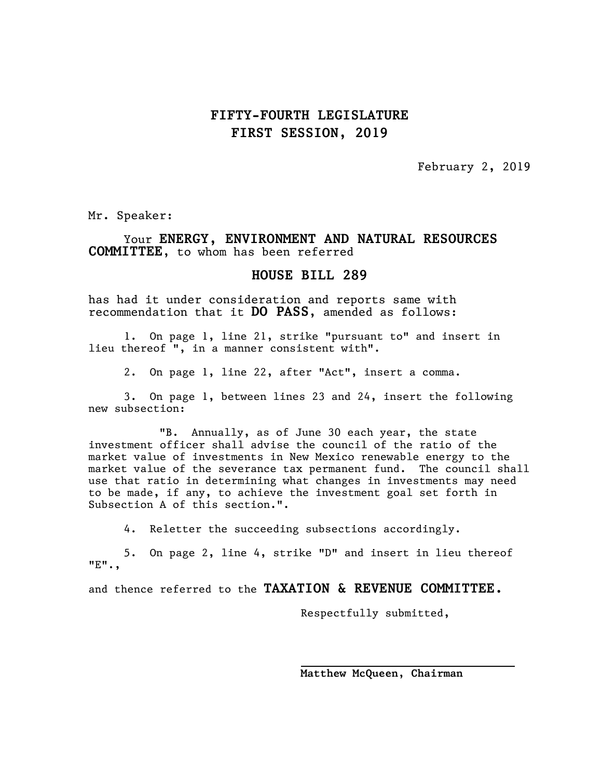## **FIFTY-FOURTH LEGISLATURE FIRST SESSION, 2019**

February 2, 2019

Mr. Speaker:

Your **ENERGY, ENVIRONMENT AND NATURAL RESOURCES COMMITTEE,** to whom has been referred

## **HOUSE BILL 289**

has had it under consideration and reports same with recommendation that it **DO PASS**, amended as follows:

1. On page 1, line 21, strike "pursuant to" and insert in lieu thereof ", in a manner consistent with".

2. On page 1, line 22, after "Act", insert a comma.

3. On page 1, between lines 23 and 24, insert the following new subsection:

"B. Annually, as of June 30 each year, the state investment officer shall advise the council of the ratio of the market value of investments in New Mexico renewable energy to the market value of the severance tax permanent fund. The council shall use that ratio in determining what changes in investments may need to be made, if any, to achieve the investment goal set forth in Subsection A of this section.".

4. Reletter the succeeding subsections accordingly.

5. On page 2, line 4, strike "D" and insert in lieu thereof "E".,

l,

and thence referred to the **TAXATION & REVENUE COMMITTEE.**

Respectfully submitted,

**Matthew McQueen, Chairman**